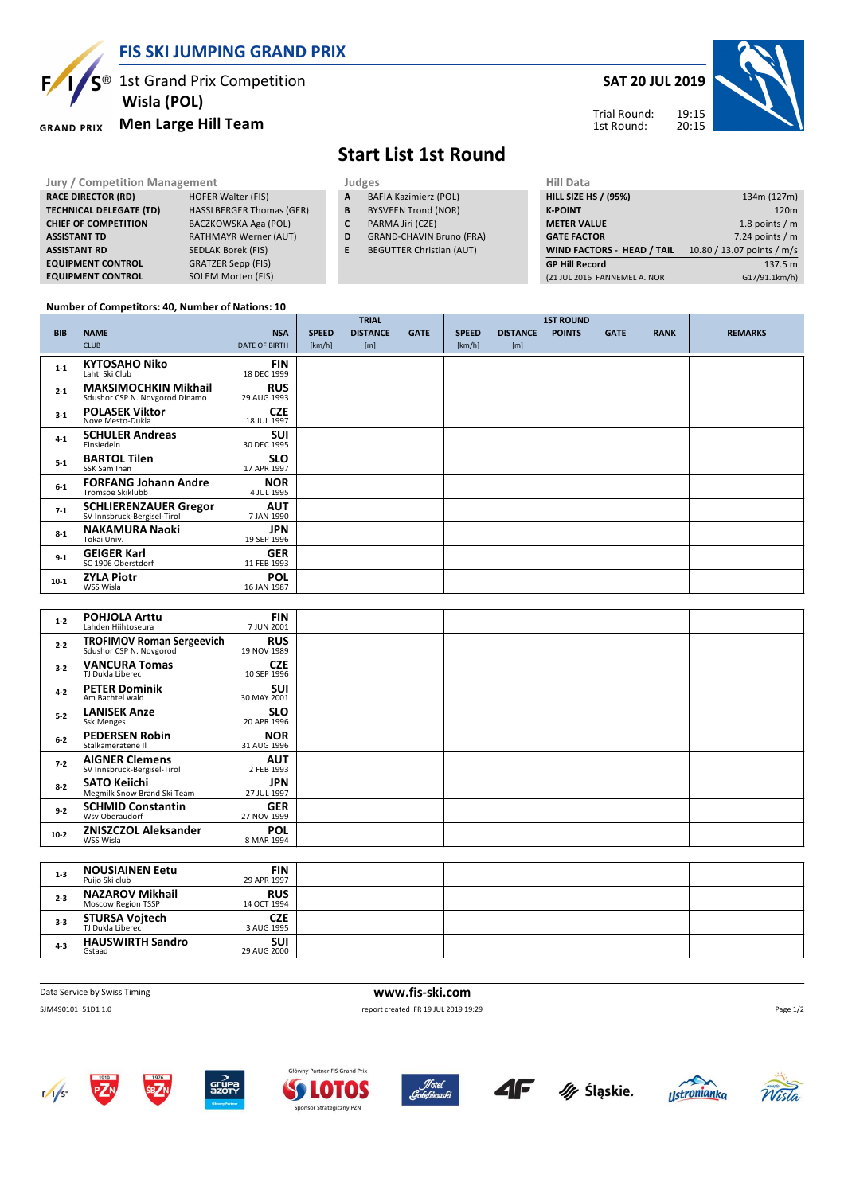**FIS SKI JUMPING GRAND PRIX**



**EQUIPMENT CONTROL** 

 **Wisla (POL)**

#### **Men Large Hill Team GRAND PRIX**

**RACE DIRECTOR (RD) HOFER Walter (FIS) TECHNICAL DELEGATE (TD)** HASSLBERGER Thomas (GER) **CHIEF OF COMPETITION** BACZKOWSKA Aga (POL) **ASSISTANT TD** RATHMAYR Werner (AUT) **ASSISTANT RD** SEDLAK Borek (FIS)<br>**EQUIPMENT CONTROL** GRATZER Sepp (FIS)

### **SAT 20 JUL 2019**



### Trial Round: 1st Round:

## **Start List 1st Round**

**Jury / Competition Management department on the United States of the Hill Data** 

- **A** BAFIA Kazimierz (POL)
- **B** BYSVEEN Trond (NOR)
- **C** PARMA Jiri (CZE)
- **D** GRAND-CHAVIN Bruno (FRA)
- **E** BEGUTTER Christian (AUT)

| niil Ddtd                         |                            |
|-----------------------------------|----------------------------|
| <b>HILL SIZE HS / (95%)</b>       | 134m (127m)                |
| <b>K-POINT</b>                    | 120 <sub>m</sub>           |
| <b>METER VALUE</b>                | 1.8 points $/m$            |
| <b>GATE FACTOR</b>                | 7.24 points $/m$           |
| <b>WIND FACTORS - HEAD / TAIL</b> | 10.80 / 13.07 points / m/s |
| <b>GP Hill Record</b>             | 137.5 m                    |
| (21 JUL 2016 FANNEMEL A. NOR      | G17/91.1km/h)              |
|                                   |                            |

#### **Number of Competitors: 40, Number of Nations: 10**

**EQUIPMENT CONTROL** SOLEM Morten (FIS)

|            |                                                               |                           |              | <b>TRIAL</b>    |             |              |                 | <b>1ST ROUND</b> |             |             |                |
|------------|---------------------------------------------------------------|---------------------------|--------------|-----------------|-------------|--------------|-----------------|------------------|-------------|-------------|----------------|
| <b>BIB</b> | <b>NAME</b>                                                   | <b>NSA</b>                | <b>SPEED</b> | <b>DISTANCE</b> | <b>GATE</b> | <b>SPEED</b> | <b>DISTANCE</b> | <b>POINTS</b>    | <b>GATE</b> | <b>RANK</b> | <b>REMARKS</b> |
|            | <b>CLUB</b>                                                   | <b>DATE OF BIRTH</b>      | [km/h]       | [m]             |             | [km/h]       | [m]             |                  |             |             |                |
| $1 - 1$    | <b>KYTOSAHO Niko</b><br>Lahti Ski Club                        | <b>FIN</b><br>18 DEC 1999 |              |                 |             |              |                 |                  |             |             |                |
| $2 - 1$    | <b>MAKSIMOCHKIN Mikhail</b><br>Sdushor CSP N. Novgorod Dinamo | <b>RUS</b><br>29 AUG 1993 |              |                 |             |              |                 |                  |             |             |                |
| $3-1$      | <b>POLASEK Viktor</b><br>Nove Mesto-Dukla                     | <b>CZE</b><br>18 JUL 1997 |              |                 |             |              |                 |                  |             |             |                |
| $4 - 1$    | <b>SCHULER Andreas</b><br>Einsiedeln                          | <b>SUI</b><br>30 DEC 1995 |              |                 |             |              |                 |                  |             |             |                |
| $5 - 1$    | <b>BARTOL Tilen</b><br>SSK Sam Ihan                           | <b>SLO</b><br>17 APR 1997 |              |                 |             |              |                 |                  |             |             |                |
| $6-1$      | <b>FORFANG Johann Andre</b><br><b>Tromsoe Skiklubb</b>        | <b>NOR</b><br>4 JUL 1995  |              |                 |             |              |                 |                  |             |             |                |
| $7-1$      | <b>SCHLIERENZAUER Gregor</b><br>SV Innsbruck-Bergisel-Tirol   | <b>AUT</b><br>7 JAN 1990  |              |                 |             |              |                 |                  |             |             |                |
| $8 - 1$    | <b>NAKAMURA Naoki</b><br>Tokai Univ.                          | <b>JPN</b><br>19 SEP 1996 |              |                 |             |              |                 |                  |             |             |                |
| $9-1$      | <b>GEIGER Karl</b><br>SC 1906 Oberstdorf                      | <b>GER</b><br>11 FEB 1993 |              |                 |             |              |                 |                  |             |             |                |
| $10-1$     | <b>ZYLA Piotr</b><br>WSS Wisla                                | <b>POL</b><br>16 JAN 1987 |              |                 |             |              |                 |                  |             |             |                |

| $1 - 2$ | <b>POHJOLA Arttu</b><br>Lahden Hiihtoseura                  | <b>FIN</b><br>7 JUN 2001  |  |  |
|---------|-------------------------------------------------------------|---------------------------|--|--|
| $2 - 2$ | <b>TROFIMOV Roman Sergeevich</b><br>Sdushor CSP N. Novgorod | <b>RUS</b><br>19 NOV 1989 |  |  |
| $3-2$   | <b>VANCURA Tomas</b><br>TJ Dukla Liberec                    | <b>CZE</b><br>10 SEP 1996 |  |  |
| $4 - 2$ | <b>PETER Dominik</b><br>Am Bachtel wald                     | <b>SUI</b><br>30 MAY 2001 |  |  |
| $5 - 2$ | <b>LANISEK Anze</b><br>Ssk Menges                           | <b>SLO</b><br>20 APR 1996 |  |  |
| $6 - 2$ | <b>PEDERSEN Robin</b><br>Stalkameratene II                  | <b>NOR</b><br>31 AUG 1996 |  |  |
| $7 - 2$ | <b>AIGNER Clemens</b><br>SV Innsbruck-Bergisel-Tirol        | <b>AUT</b><br>2 FEB 1993  |  |  |
| $8 - 2$ | <b>SATO Keiichi</b><br>Megmilk Snow Brand Ski Team          | <b>JPN</b><br>27 JUL 1997 |  |  |
| $9-2$   | <b>SCHMID Constantin</b><br>Wsv Oberaudorf                  | <b>GER</b><br>27 NOV 1999 |  |  |
| $10-2$  | <b>ZNISZCZOL Aleksander</b><br>WSS Wisla                    | <b>POL</b><br>8 MAR 1994  |  |  |

| $1 - 3$ | <b>NOUSIAINEN Eetu</b><br>Puijo Ski club     | <b>FIN</b><br>29 APR 1997 |  |  |
|---------|----------------------------------------------|---------------------------|--|--|
| $2 - 3$ | <b>NAZAROV Mikhail</b><br>Moscow Region TSSP | <b>RUS</b><br>14 OCT 1994 |  |  |
| $3-3$   | <b>STURSA Vojtech</b><br>TJ Dukla Liberec    | <b>CZE</b><br>3 AUG 1995  |  |  |
| $4 - 3$ | <b>HAUSWIRTH Sandro</b><br>Gstaad            | <b>SUI</b><br>29 AUG 2000 |  |  |

Data Service by Swiss Timing **www.fis-ski.com**

SJM490101\_51D1 1.0 report created FR 19 JUL 2019 19:29















Page 1/2